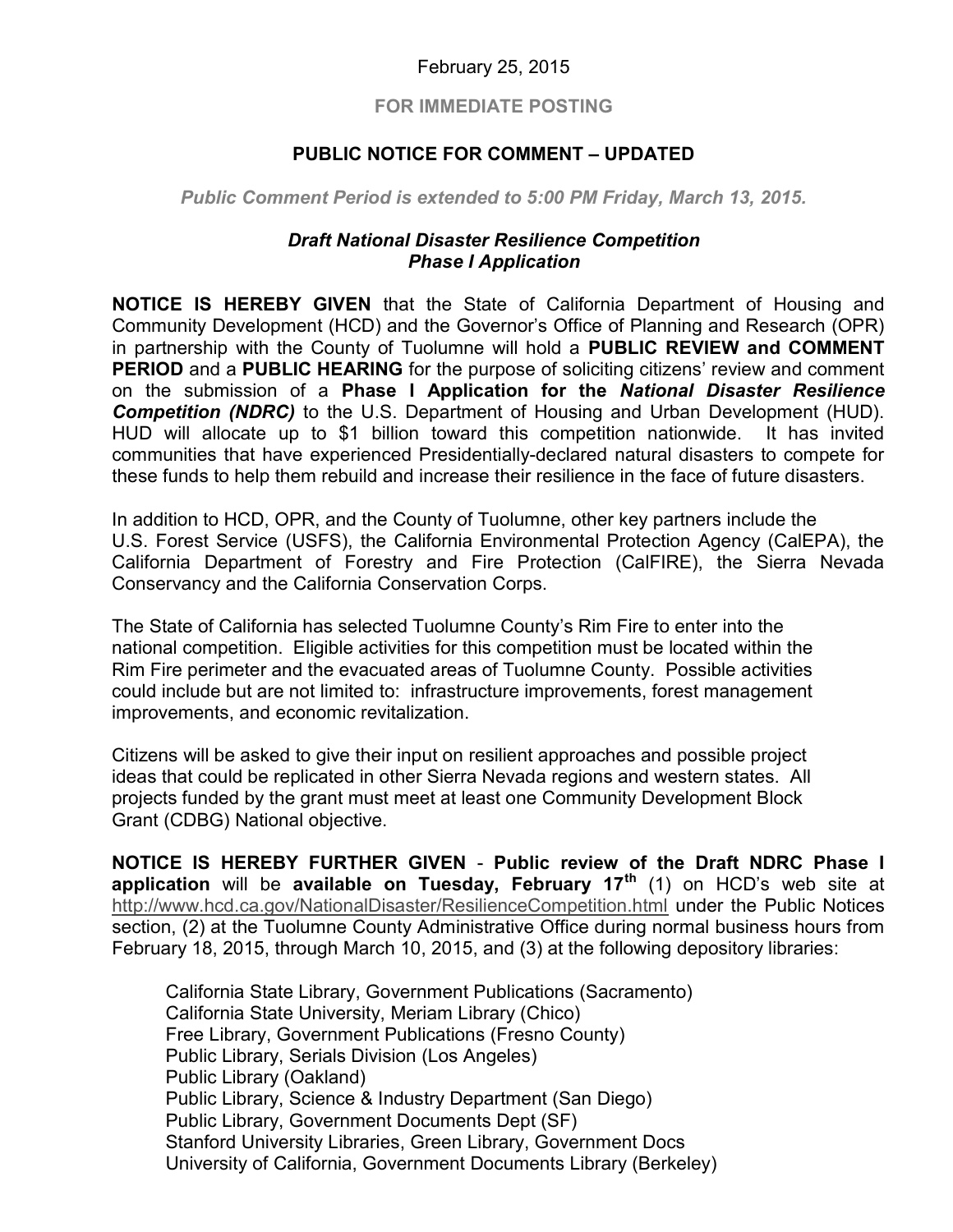## February 25, 2015

## FOR IMMEDIATE POSTING

## PUBLIC NOTICE FOR COMMENT – UPDATED

Public Comment Period is extended to 5:00 PM Friday, March 13, 2015.

## Draft National Disaster Resilience Competition Phase I Application

 NOTICE IS HEREBY GIVEN that the State of California Department of Housing and Community Development (HCD) and the Governor's Office of Planning and Research (OPR) in partnership with the County of Tuolumne will hold a PUBLIC REVIEW and COMMENT PERIOD and a PUBLIC HEARING for the purpose of soliciting citizens' review and comment on the submission of a Phase I Application for the National Disaster Resilience **Competition (NDRC)** to the U.S. Department of Housing and Urban Development (HUD). HUD will allocate up to \$1 billion toward this competition nationwide. It has invited communities that have experienced Presidentially-declared natural disasters to compete for these funds to help them rebuild and increase their resilience in the face of future disasters.

 In addition to HCD, OPR, and the County of Tuolumne, other key partners include the U.S. Forest Service (USFS), the California Environmental Protection Agency (CalEPA), the California Department of Forestry and Fire Protection (CalFIRE), the Sierra Nevada Conservancy and the California Conservation Corps.

 The State of California has selected Tuolumne County's Rim Fire to enter into the national competition. Eligible activities for this competition must be located within the Rim Fire perimeter and the evacuated areas of Tuolumne County. Possible activities could include but are not limited to: infrastructure improvements, forest management improvements, and economic revitalization.

 Citizens will be asked to give their input on resilient approaches and possible project ideas that could be replicated in other Sierra Nevada regions and western states. All projects funded by the grant must meet at least one Community Development Block Grant (CDBG) National objective.

 NOTICE IS HEREBY FURTHER GIVEN - Public review of the Draft NDRC Phase I application will be available on Tuesday, February 17<sup>th</sup> (1) on HCD's web site at <http://www.hcd.ca.gov/NationalDisaster/ResilienceCompetition.html> under the Public Notices section, (2) at the Tuolumne County Administrative Office during normal business hours from February 18, 2015, through March 10, 2015, and (3) at the following depository libraries:

 California State Library, Government Publications (Sacramento) California State University, Meriam Library (Chico) Free Library, Government Publications (Fresno County) Public Library, Serials Division (Los Angeles) Public Library (Oakland) Public Library, Science & Industry Department (San Diego) Public Library, Government Documents Dept (SF) Stanford University Libraries, Green Library, Government Docs University of California, Government Documents Library (Berkeley)